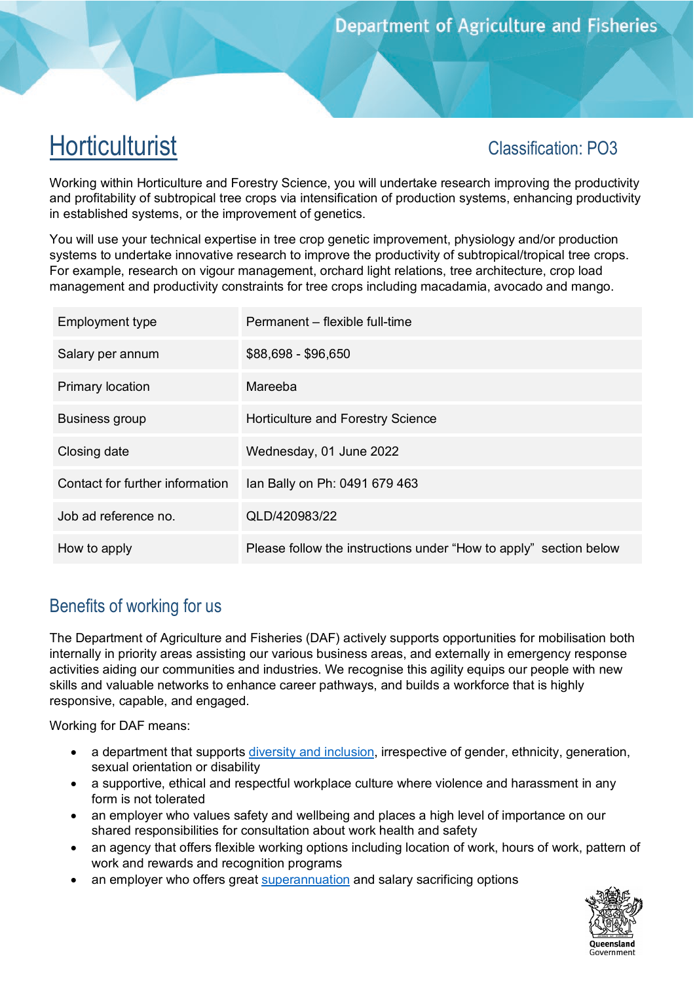# **Horticulturist**

## Classification: PO3

Working within Horticulture and Forestry Science, you will undertake research improving the productivity and profitability of subtropical tree crops via intensification of production systems, enhancing productivity in established systems, or the improvement of genetics.

You will use your technical expertise in tree crop genetic improvement, physiology and/or production systems to undertake innovative research to improve the productivity of subtropical/tropical tree crops. For example, research on vigour management, orchard light relations, tree architecture, crop load management and productivity constraints for tree crops including macadamia, avocado and mango.

| Employment type                 | Permanent – flexible full-time                                    |
|---------------------------------|-------------------------------------------------------------------|
| Salary per annum                | \$88,698 - \$96,650                                               |
| <b>Primary location</b>         | Mareeba                                                           |
| <b>Business group</b>           | Horticulture and Forestry Science                                 |
| Closing date                    | Wednesday, 01 June 2022                                           |
| Contact for further information | lan Bally on Ph: 0491 679 463                                     |
| Job ad reference no.            | QLD/420983/22                                                     |
| How to apply                    | Please follow the instructions under "How to apply" section below |

## Benefits of working for us

The Department of Agriculture and Fisheries (DAF) actively supports opportunities for mobilisation both internally in priority areas assisting our various business areas, and externally in emergency response activities aiding our communities and industries. We recognise this agility equips our people with new skills and valuable networks to enhance career pathways, and builds a workforce that is highly responsive, capable, and engaged.

Working for DAF means:

- a department that supports [diversity and inclusion,](https://www.forgov.qld.gov.au/inclusion-and-diversity-commitment) irrespective of gender, ethnicity, generation, sexual orientation or disability
- a supportive, ethical and respectful workplace culture where violence and harassment in any form is not tolerated
- an employer who values safety and wellbeing and places a high level of importance on our shared responsibilities for consultation about work health and safety
- an agency that offers flexible working options including location of work, hours of work, pattern of work and rewards and recognition programs
- an employer who offers great [superannuation](https://www.forgov.qld.gov.au/superannuation) and salary sacrificing options

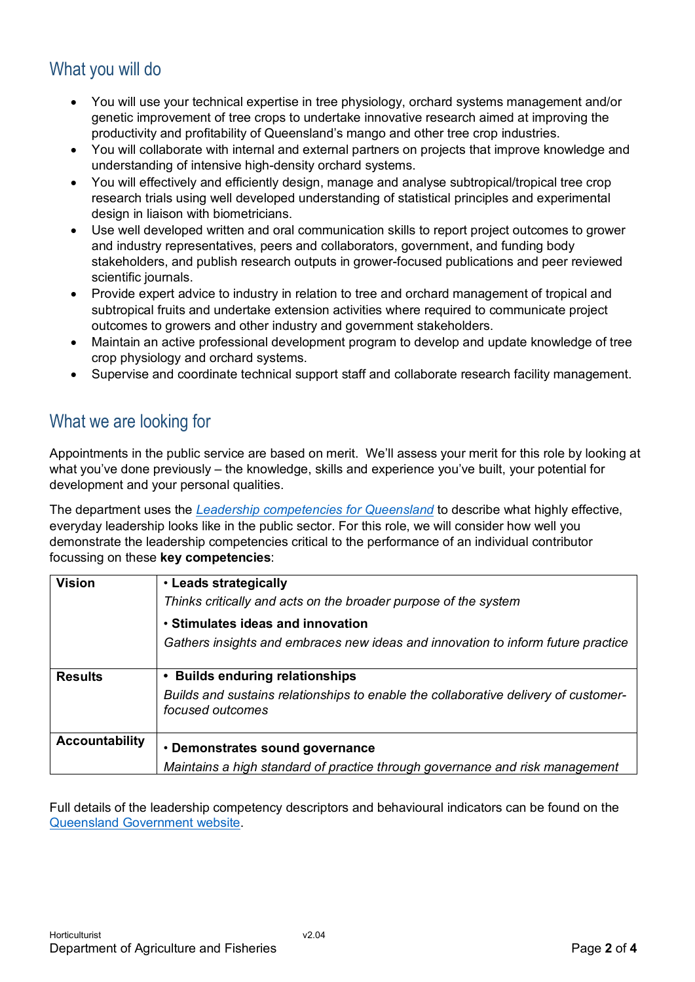## What you will do

- You will use your technical expertise in tree physiology, orchard systems management and/or genetic improvement of tree crops to undertake innovative research aimed at improving the productivity and profitability of Queensland's mango and other tree crop industries.
- You will collaborate with internal and external partners on projects that improve knowledge and understanding of intensive high-density orchard systems.
- You will effectively and efficiently design, manage and analyse subtropical/tropical tree crop research trials using well developed understanding of statistical principles and experimental design in liaison with biometricians.
- Use well developed written and oral communication skills to report project outcomes to grower and industry representatives, peers and collaborators, government, and funding body stakeholders, and publish research outputs in grower-focused publications and peer reviewed scientific journals.
- Provide expert advice to industry in relation to tree and orchard management of tropical and subtropical fruits and undertake extension activities where required to communicate project outcomes to growers and other industry and government stakeholders.
- Maintain an active professional development program to develop and update knowledge of tree crop physiology and orchard systems.
- Supervise and coordinate technical support staff and collaborate research facility management.

## What we are looking for

Appointments in the public service are based on merit. We'll assess your merit for this role by looking at what you've done previously – the knowledge, skills and experience you've built, your potential for development and your personal qualities.

The department uses the *[Leadership competencies for Queensland](https://www.forgov.qld.gov.au/leadership-competencies-queensland)* to describe what highly effective, everyday leadership looks like in the public sector. For this role, we will consider how well you demonstrate the leadership competencies critical to the performance of an individual contributor focussing on these **key competencies**:

| <b>Vision</b>         | • Leads strategically                                                                                   |
|-----------------------|---------------------------------------------------------------------------------------------------------|
|                       | Thinks critically and acts on the broader purpose of the system                                         |
|                       | • Stimulates ideas and innovation                                                                       |
|                       | Gathers insights and embraces new ideas and innovation to inform future practice                        |
|                       |                                                                                                         |
| <b>Results</b>        | • Builds enduring relationships                                                                         |
|                       | Builds and sustains relationships to enable the collaborative delivery of customer-<br>focused outcomes |
| <b>Accountability</b> | • Demonstrates sound governance                                                                         |
|                       | Maintains a high standard of practice through governance and risk management                            |

Full details of the leadership competency descriptors and behavioural indicators can be found on the [Queensland Government website.](https://www.forgov.qld.gov.au/leadership-competencies-queensland)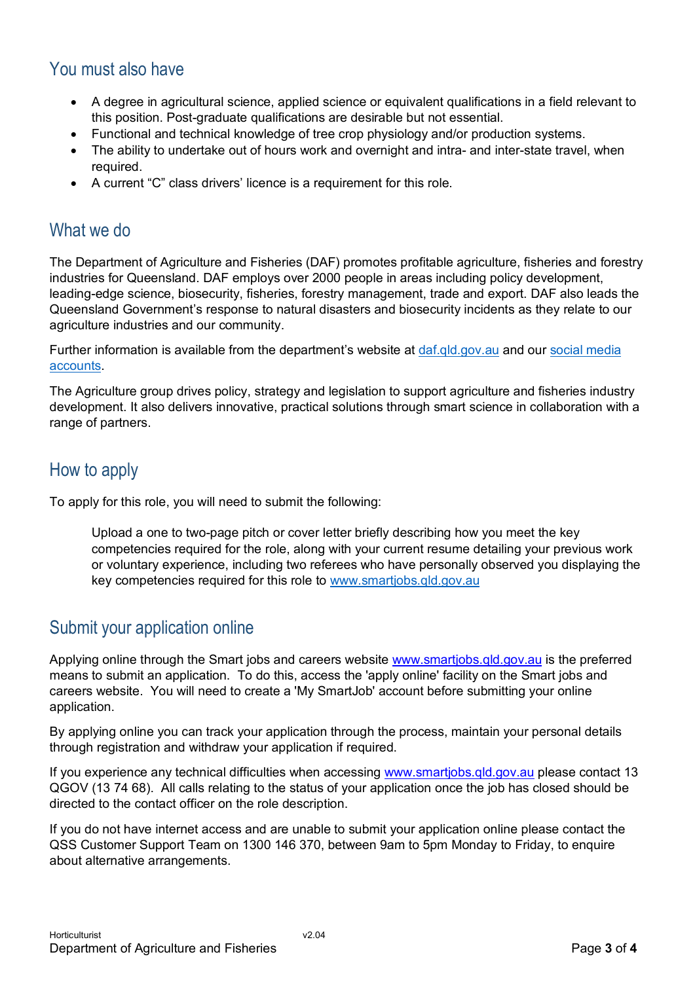### You must also have

- A degree in agricultural science, applied science or equivalent qualifications in a field relevant to this position. Post-graduate qualifications are desirable but not essential.
- Functional and technical knowledge of tree crop physiology and/or production systems.
- The ability to undertake out of hours work and overnight and intra- and inter-state travel, when required.
- A current "C" class drivers' licence is a requirement for this role.

#### What we do

The Department of Agriculture and Fisheries (DAF) promotes profitable agriculture, fisheries and forestry industries for Queensland. DAF employs over 2000 people in areas including policy development, leading-edge science, biosecurity, fisheries, forestry management, trade and export. DAF also leads the Queensland Government's response to natural disasters and biosecurity incidents as they relate to our agriculture industries and our community.

Further information is available from the department's website at [daf.qld.gov.au](http://www.daf.qld.gov.au/) and our social media [accounts.](https://www.daf.qld.gov.au/news-media/social-media)

The Agriculture group drives policy, strategy and legislation to support agriculture and fisheries industry development. It also delivers innovative, practical solutions through smart science in collaboration with a range of partners.

#### How to apply

To apply for this role, you will need to submit the following:

Upload a one to two-page pitch or cover letter briefly describing how you meet the key competencies required for the role, along with your current resume detailing your previous work or voluntary experience, including two referees who have personally observed you displaying the key competencies required for this role to [www.smartjobs.qld.gov.au](http://www.smartjobs.qld.gov.au/)

#### Submit your application online

Applying online through the Smart jobs and careers website [www.smartjobs.qld.gov.au](http://www.smartjobs.qld.gov.au/) is the preferred means to submit an application. To do this, access the 'apply online' facility on the Smart jobs and careers website. You will need to create a 'My SmartJob' account before submitting your online application.

By applying online you can track your application through the process, maintain your personal details through registration and withdraw your application if required.

If you experience any technical difficulties when accessing [www.smartjobs.qld.gov.au](http://www.smartjobs.qld.gov.au/) please contact 13 QGOV (13 74 68). All calls relating to the status of your application once the job has closed should be directed to the contact officer on the role description.

If you do not have internet access and are unable to submit your application online please contact the QSS Customer Support Team on 1300 146 370, between 9am to 5pm Monday to Friday, to enquire about alternative arrangements.